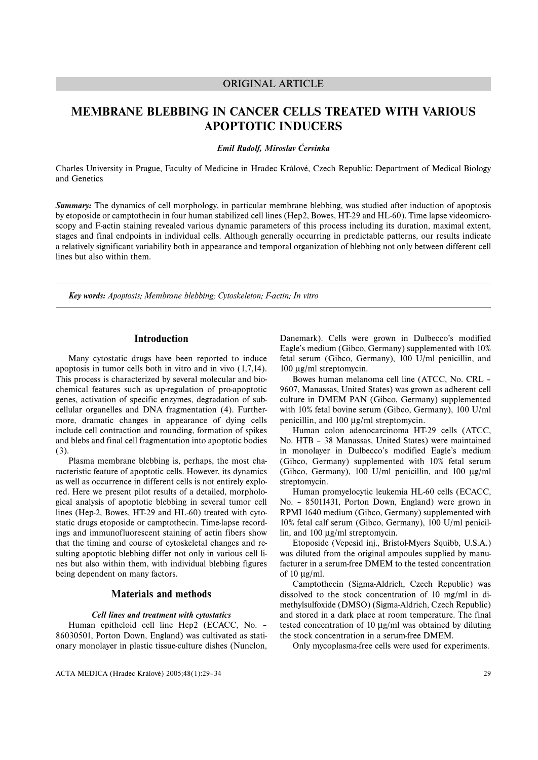# ORIGINAL ARTICLE

# **MEMBRANE BLEBBING IN CANCER CELLS TREATED WITH VARIOUS APOPTOTIC INDUCERS**

*Emil Rudolf, Miroslav Červinka*

Charles University in Prague, Faculty of Medicine in Hradec Králové, Czech Republic: Department of Medical Biology and Genetics

*Summary:* The dynamics of cell morphology, in particular membrane blebbing, was studied after induction of apoptosis by etoposide or camptothecin in four human stabilized cell lines (Hep2, Bowes, HT-29 and HL-60). Time lapse videomicroscopy and F-actin staining revealed various dynamic parameters of this process including its duration, maximal extent, stages and final endpoints in individual cells. Although generally occurring in predictable patterns, our results indicate a relatively significant variability both in appearance and temporal organization of blebbing not only between different cell lines but also within them.

*Key words: Apoptosis; Membrane blebbing; Cytoskeleton; F-actin; In vitro*

# **Introduction**

Many cytostatic drugs have been reported to induce apoptosis in tumor cells both in vitro and in vivo (1,7,14). This process is characterized by several molecular and biochemical features such as up-regulation of pro-apoptotic genes, activation of specific enzymes, degradation of subcellular organelles and DNA fragmentation (4). Furthermore, dramatic changes in appearance of dying cells include cell contraction and rounding, formation of spikes and blebs and final cell fragmentation into apoptotic bodies (3).

Plasma membrane blebbing is, perhaps, the most characteristic feature of apoptotic cells. However, its dynamics as well as occurrence in different cells is not entirely explored. Here we present pilot results of a detailed, morphological analysis of apoptotic blebbing in several tumor cell lines (Hep-2, Bowes, HT-29 and HL-60) treated with cytostatic drugs etoposide or camptothecin. Time-lapse recordings and immunofluorescent staining of actin fibers show that the timing and course of cytoskeletal changes and resulting apoptotic blebbing differ not only in various cell lines but also within them, with individual blebbing figures being dependent on many factors.

# **Materials and methods**

#### *Cell lines and treatment with cytostatics*

Human epitheloid cell line Hep2 (ECACC, No. – 86030501, Porton Down, England) was cultivated as stationary monolayer in plastic tissue-culture dishes (Nunclon, Danemark). Cells were grown in Dulbecco's modified Eagle's medium (Gibco, Germany) supplemented with 10% fetal serum (Gibco, Germany), 100 U/ml penicillin, and 100 µg/ml streptomycin.

Bowes human melanoma cell line (ATCC, No. CRL – 9607, Manassas, United States) was grown as adherent cell culture in DMEM PAN (Gibco, Germany) supplemented with 10% fetal bovine serum (Gibco, Germany), 100 U/ml penicillin, and 100 µg/ml streptomycin.

Human colon adenocarcinoma HT-29 cells (ATCC, No. HTB – 38 Manassas, United States) were maintained in monolayer in Dulbecco's modified Eagle's medium (Gibco, Germany) supplemented with 10% fetal serum (Gibco, Germany), 100 U/ml penicillin, and 100  $\mu$ g/ml streptomycin.

Human promyelocytic leukemia HL-60 cells (ECACC, No. – 85011431, Porton Down, England) were grown in RPMI 1640 medium (Gibco, Germany) supplemented with 10% fetal calf serum (Gibco, Germany), 100 U/ml penicillin, and 100 µg/ml streptomycin.

Etoposide (Vepesid inj., Bristol-Myers Squibb, U.S.A.) was diluted from the original ampoules supplied by manufacturer in a serum-free DMEM to the tested concentration of 10  $\mu$ g/ml.

Camptothecin (Sigma-Aldrich, Czech Republic) was dissolved to the stock concentration of 10 mg/ml in dimethylsulfoxide (DMSO) (Sigma-Aldrich, Czech Republic) and stored in a dark place at room temperature. The final tested concentration of 10 µg/ml was obtained by diluting the stock concentration in a serum-free DMEM.

Only mycoplasma-free cells were used for experiments.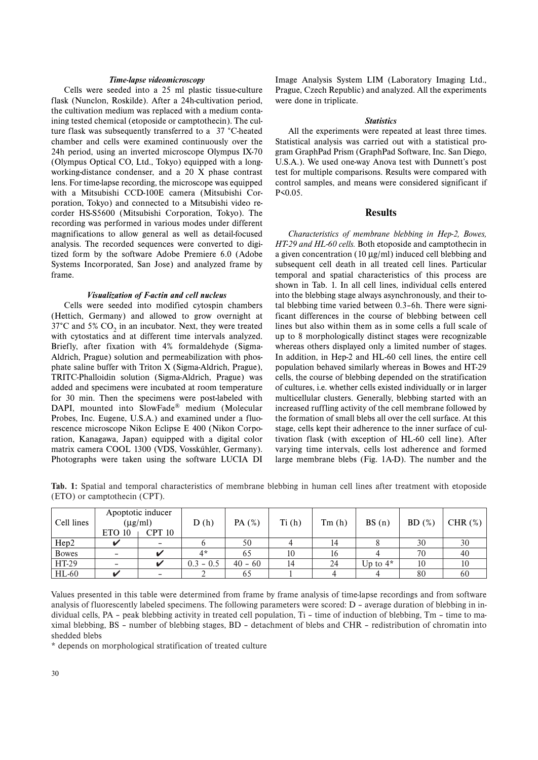#### *Time-lapse videomicroscopy*

Cells were seeded into a 25 ml plastic tissue-culture flask (Nunclon, Roskilde). After a 24h-cultivation period, the cultivation medium was replaced with a medium containing tested chemical (etoposide or camptothecin). The culture flask was subsequently transferred to a 37 °C-heated chamber and cells were examined continuously over the 24h period, using an inverted microscope Olympus IX-70 (Olympus Optical CO, Ltd., Tokyo) equipped with a longworking-distance condenser, and a 20 X phase contrast lens. For time-lapse recording, the microscope was equipped with a Mitsubishi CCD-100E camera (Mitsubishi Corporation, Tokyo) and connected to a Mitsubishi video recorder HS-S5600 (Mitsubishi Corporation, Tokyo). The recording was performed in various modes under different magnifications to allow general as well as detail-focused analysis. The recorded sequences were converted to digitized form by the software Adobe Premiere 6.0 (Adobe Systems Incorporated, San Jose) and analyzed frame by frame.

#### *Visualization of F-actin and cell nucleus*

Cells were seeded into modified cytospin chambers (Hettich, Germany) and allowed to grow overnight at  $37^{\circ}$ C and 5% CO<sub>2</sub> in an incubator. Next, they were treated with cytostatics and at different time intervals analyzed. Briefly, after fixation with 4% formaldehyde (Sigma-Aldrich, Prague) solution and permeabilization with phosphate saline buffer with Triton X (Sigma-Aldrich, Prague), TRITC-Phalloidin solution (Sigma-Aldrich, Prague) was added and specimens were incubated at room temperature for 30 min. Then the specimens were post-labeled with DAPI, mounted into SlowFade® medium (Molecular Probes, Inc. Eugene, U.S.A.) and examined under a fluorescence microscope Nikon Eclipse E 400 (Nikon Corporation, Kanagawa, Japan) equipped with a digital color matrix camera COOL 1300 (VDS, Vosskűhler, Germany). Photographs were taken using the software LUCIA DI

Image Analysis System LIM (Laboratory Imaging Ltd., Prague, Czech Republic) and analyzed. All the experiments were done in triplicate.

#### *Statistics*

All the experiments were repeated at least three times. Statistical analysis was carried out with a statistical program GraphPad Prism (GraphPad Software, Inc. San Diego, U.S.A.). We used one-way Anova test with Dunnett's post test for multiple comparisons. Results were compared with control samples, and means were considered significant if P<0.05.

## **Results**

*Characteristics of membrane blebbing in Hep-2, Bowes, HT-29 and HL-60 cells.* Both etoposide and camptothecin in a given concentration (10 µg/ml) induced cell blebbing and subsequent cell death in all treated cell lines. Particular temporal and spatial characteristics of this process are shown in Tab. 1. In all cell lines, individual cells entered into the blebbing stage always asynchronously, and their total blebbing time varied between 0.3–6h. There were significant differences in the course of blebbing between cell lines but also within them as in some cells a full scale of up to 8 morphologically distinct stages were recognizable whereas others displayed only a limited number of stages. In addition, in Hep-2 and HL-60 cell lines, the entire cell population behaved similarly whereas in Bowes and HT-29 cells, the course of blebbing depended on the stratification of cultures, i.e. whether cells existed individually or in larger multicellular clusters. Generally, blebbing started with an increased ruffling activity of the cell membrane followed by the formation of small blebs all over the cell surface. At this stage, cells kept their adherence to the inner surface of cultivation flask (with exception of HL-60 cell line). After varying time intervals, cells lost adherence and formed large membrane blebs (Fig. 1A-D). The number and the

**Tab. 1:** Spatial and temporal characteristics of membrane blebbing in human cell lines after treatment with etoposide (ETO) or camptothecin (CPT).

| Cell lines   | Apoptotic inducer<br>$(\mu g/ml)$<br>CPT 10<br>ETO 10 |                          | D(h)        | PA $(%)$  | Ti(h) | Tm(h) | BS(n)      | BD(%) | CHR $(\%)$ |
|--------------|-------------------------------------------------------|--------------------------|-------------|-----------|-------|-------|------------|-------|------------|
| Hep2         |                                                       | $\overline{\phantom{a}}$ |             | 50        |       | 14    |            | 30    | 30         |
| <b>Bowes</b> |                                                       | u                        | $4*$        | 65        | 10    | 16    |            | 70    | 40         |
| HT-29        |                                                       | v                        | $0.3 - 0.5$ | $40 - 60$ | 14    | 24    | Up to $4*$ | 10    | 10         |
| <b>HL-60</b> |                                                       |                          |             | 65        |       |       |            | 80    | 60         |

Values presented in this table were determined from frame by frame analysis of time-lapse recordings and from software analysis of fluorescently labeled specimens. The following parameters were scored: D – average duration of blebbing in individual cells, PA – peak blebbing activity in treated cell population, Ti – time of induction of blebbing, Tm – time to maximal blebbing, BS – number of blebbing stages, BD – detachment of blebs and CHR – redistribution of chromatin into shedded blebs

\* depends on morphological stratification of treated culture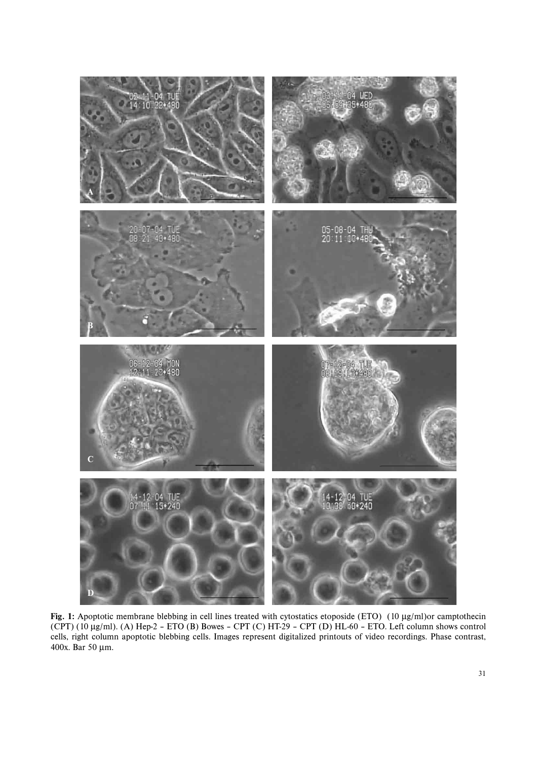

**Fig. 1:** Apoptotic membrane blebbing in cell lines treated with cytostatics etoposide (ETO) (10 µg/ml)or camptothecin (CPT) (10 µg/ml). (A) Hep-2 – ETO (B) Bowes – CPT (C) HT-29 – CPT (D) HL-60 – ETO. Left column shows control cells, right column apoptotic blebbing cells. Images represent digitalized printouts of video recordings. Phase contrast, 400x. Bar 50 µm.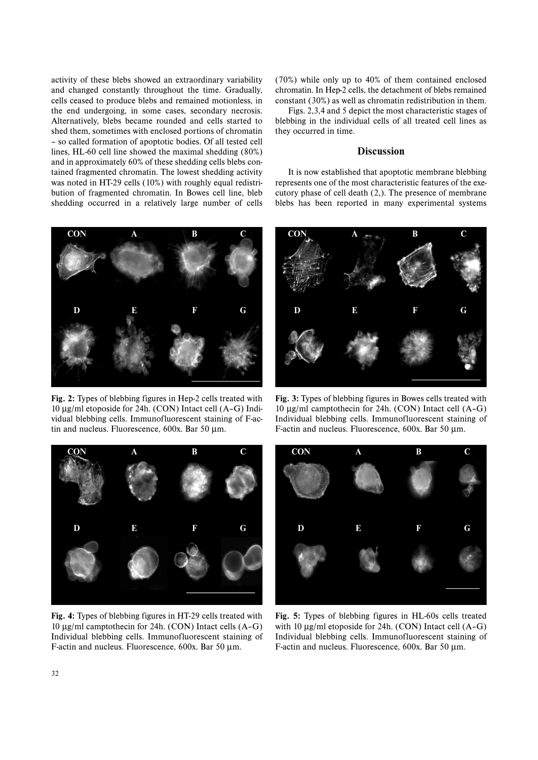activity of these blebs showed an extraordinary variability and changed constantly throughout the time. Gradually, cells ceased to produce blebs and remained motionless, in the end undergoing, in some cases, secondary necrosis. Alternatively, blebs became rounded and cells started to shed them, sometimes with enclosed portions of chromatin – so called formation of apoptotic bodies. Of all tested cell lines, HL-60 cell line showed the maximal shedding (80%) and in approximately 60% of these shedding cells blebs contained fragmented chromatin. The lowest shedding activity was noted in HT-29 cells (10%) with roughly equal redistribution of fragmented chromatin. In Bowes cell line, bleb shedding occurred in a relatively large number of cells



**Fig. 2:** Types of blebbing figures in Hep-2 cells treated with 10 µg/ml etoposide for 24h. (CON) Intact cell (A–G) Individual blebbing cells. Immunofluorescent staining of F-actin and nucleus. Fluorescence, 600x. Bar 50 µm.

(70%) while only up to 40% of them contained enclosed chromatin. In Hep-2 cells, the detachment of blebs remained constant (30%) as well as chromatin redistribution in them.

Figs. 2,3,4 and 5 depict the most characteristic stages of blebbing in the individual cells of all treated cell lines as they occurred in time.

### **Discussion**

It is now established that apoptotic membrane blebbing represents one of the most characteristic features of the executory phase of cell death (2,). The presence of membrane blebs has been reported in many experimental systems



**Fig. 3:** Types of blebbing figures in Bowes cells treated with 10 µg/ml camptothecin for 24h. (CON) Intact cell (A–G) Individual blebbing cells. Immunofluorescent staining of F-actin and nucleus. Fluorescence, 600x. Bar 50 µm.



**Fig. 4:** Types of blebbing figures in HT-29 cells treated with 10 µg/ml camptothecin for 24h. (CON) Intact cells (A–G) Individual blebbing cells. Immunofluorescent staining of F-actin and nucleus. Fluorescence, 600x. Bar 50 µm.



**Fig. 5:** Types of blebbing figures in HL-60s cells treated with 10  $\mu$ g/ml etoposide for 24h. (CON) Intact cell (A-G) Individual blebbing cells. Immunofluorescent staining of F-actin and nucleus. Fluorescence, 600x. Bar 50 µm.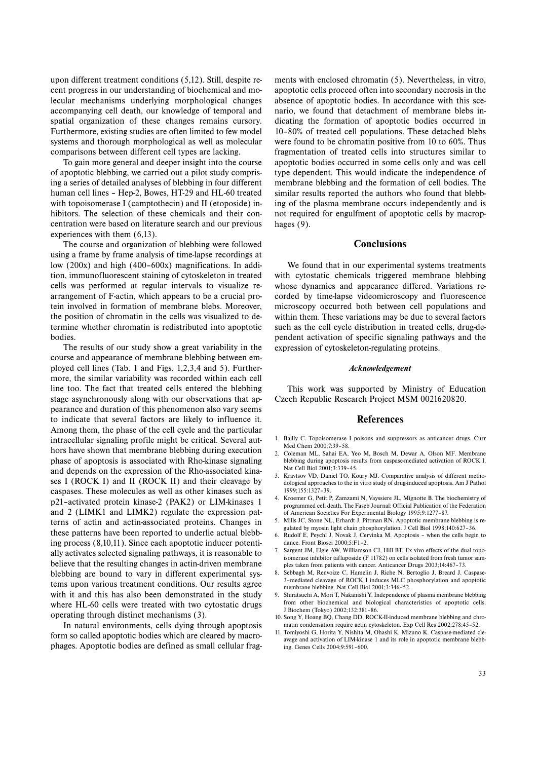upon different treatment conditions (5,12). Still, despite recent progress in our understanding of biochemical and molecular mechanisms underlying morphological changes accompanying cell death, our knowledge of temporal and spatial organization of these changes remains cursory. Furthermore, existing studies are often limited to few model systems and thorough morphological as well as molecular comparisons between different cell types are lacking.

To gain more general and deeper insight into the course of apoptotic blebbing, we carried out a pilot study comprising a series of detailed analyses of blebbing in four different human cell lines – Hep-2, Bowes, HT-29 and HL-60 treated with topoisomerase I (camptothecin) and II (etoposide) inhibitors. The selection of these chemicals and their concentration were based on literature search and our previous experiences with them (6,13).

The course and organization of blebbing were followed using a frame by frame analysis of time-lapse recordings at low (200x) and high (400–600x) magnifications. In addition, immunofluorescent staining of cytoskeleton in treated cells was performed at regular intervals to visualize rearrangement of F-actin, which appears to be a crucial protein involved in formation of membrane blebs. Moreover, the position of chromatin in the cells was visualized to determine whether chromatin is redistributed into apoptotic bodies.

The results of our study show a great variability in the course and appearance of membrane blebbing between employed cell lines (Tab. 1 and Figs. 1,2,3,4 and 5). Furthermore, the similar variability was recorded within each cell line too. The fact that treated cells entered the blebbing stage asynchronously along with our observations that appearance and duration of this phenomenon also vary seems to indicate that several factors are likely to influence it. Among them, the phase of the cell cycle and the particular intracellular signaling profile might be critical. Several authors have shown that membrane blebbing during execution phase of apoptosis is associated with Rho-kinase signaling and depends on the expression of the Rho-associated kinases I (ROCK I) and II (ROCK II) and their cleavage by caspases. These molecules as well as other kinases such as p21–activated protein kinase-2 (PAK2) or LIM-kinases 1 and 2 (LIMK1 and LIMK2) regulate the expression patterns of actin and actin-associated proteins. Changes in these patterns have been reported to underlie actual blebbing process (8,10,11). Since each apoptotic inducer potentially activates selected signaling pathways, it is reasonable to believe that the resulting changes in actin-driven membrane blebbing are bound to vary in different experimental systems upon various treatment conditions. Our results agree with it and this has also been demonstrated in the study where HL-60 cells were treated with two cytostatic drugs operating through distinct mechanisms (3).

In natural environments, cells dying through apoptosis form so called apoptotic bodies which are cleared by macrophages. Apoptotic bodies are defined as small cellular fragments with enclosed chromatin (5). Nevertheless, in vitro, apoptotic cells proceed often into secondary necrosis in the absence of apoptotic bodies. In accordance with this scenario, we found that detachment of membrane blebs indicating the formation of apoptotic bodies occurred in 10–80% of treated cell populations. These detached blebs were found to be chromatin positive from 10 to 60%. Thus fragmentation of treated cells into structures similar to apoptotic bodies occurred in some cells only and was cell type dependent. This would indicate the independence of membrane blebbing and the formation of cell bodies. The similar results reported the authors who found that blebbing of the plasma membrane occurs independently and is not required for engulfment of apoptotic cells by macrophages (9).

## **Conclusions**

We found that in our experimental systems treatments with cytostatic chemicals triggered membrane blebbing whose dynamics and appearance differed. Variations recorded by time-lapse videomicroscopy and fluorescence microscopy occurred both between cell populations and within them. These variations may be due to several factors such as the cell cycle distribution in treated cells, drug-dependent activation of specific signaling pathways and the expression of cytoskeleton-regulating proteins.

#### *Acknowledgement*

This work was supported by Ministry of Education Czech Republic Research Project MSM 0021620820.

#### **References**

- 1. Bailly C. Topoisomerase I poisons and suppressors as anticancer drugs. Curr Med Chem 2000;7:39–58.
- 2. Coleman ML, Sahai EA, Yeo M, Bosch M, Dewar A, Olson MF. Membrane blebbing during apoptosis results from caspase-mediated activation of ROCK I. Nat Cell Biol 2001;3:339–45.
- 3. Kravtsov VD, Daniel TO, Koury MJ. Comparative analysis of different methodological approaches to the in vitro study of drug-induced apoptosis. Am J Pathol 1999;155:1327–39.
- 4. Kroemer G, Petit P, Zamzami N, Vayssiere JL, Mignotte B. The biochemistry of programmed cell death. The Faseb Journal: Official Publication of the Federation of American Societies For Experimental Biology 1995;9:1277–87.
- 5. Mills JC, Stone NL, Erhardt J, Pittman RN. Apoptotic membrane blebbing is regulated by myosin light chain phosphorylation. J Cell Biol 1998;140:627–36.
- 6. Rudolf E, Peychl J, Novak J, Cervinka M. Apoptosis when the cells begin to dance. Front Biosci 2000;5:F1–2.
- Sargent JM, Elgie AW, Williamson CJ, Hill BT. Ex vivo effects of the dual topoisomerase inhibitor tafluposide (F 11782) on cells isolated from fresh tumor samples taken from patients with cancer. Anticancer Drugs 2003;14:467–73.
- Sebbagh M, Renvoize C, Hamelin J, Riche N, Bertoglio J, Breard J, Caspase-3–mediated cleavage of ROCK I induces MLC phosphorylation and apoptotic membrane blebbing. Nat Cell Biol 2001;3:346–52.
- 9. Shiratsuchi A, Mori T, Nakanishi Y. Independence of plasma membrane blebbing from other biochemical and biological characteristics of apoptotic cells. J Biochem (Tokyo) 2002;132:381–86.
- 10. Song Y, Hoang BQ, Chang DD. ROCK-II-induced membrane blebbing and chromatin condensation require actin cytoskeleton. Exp Cell Res 2002;278:45–52.
- 11. Tomiyoshi G, Horita Y, Nishita M, Ohashi K, Mizuno K. Caspase-mediated cleavage and activation of LIM-kinase 1 and its role in apoptotic membrane blebbing. Genes Cells 2004;9:591–600.